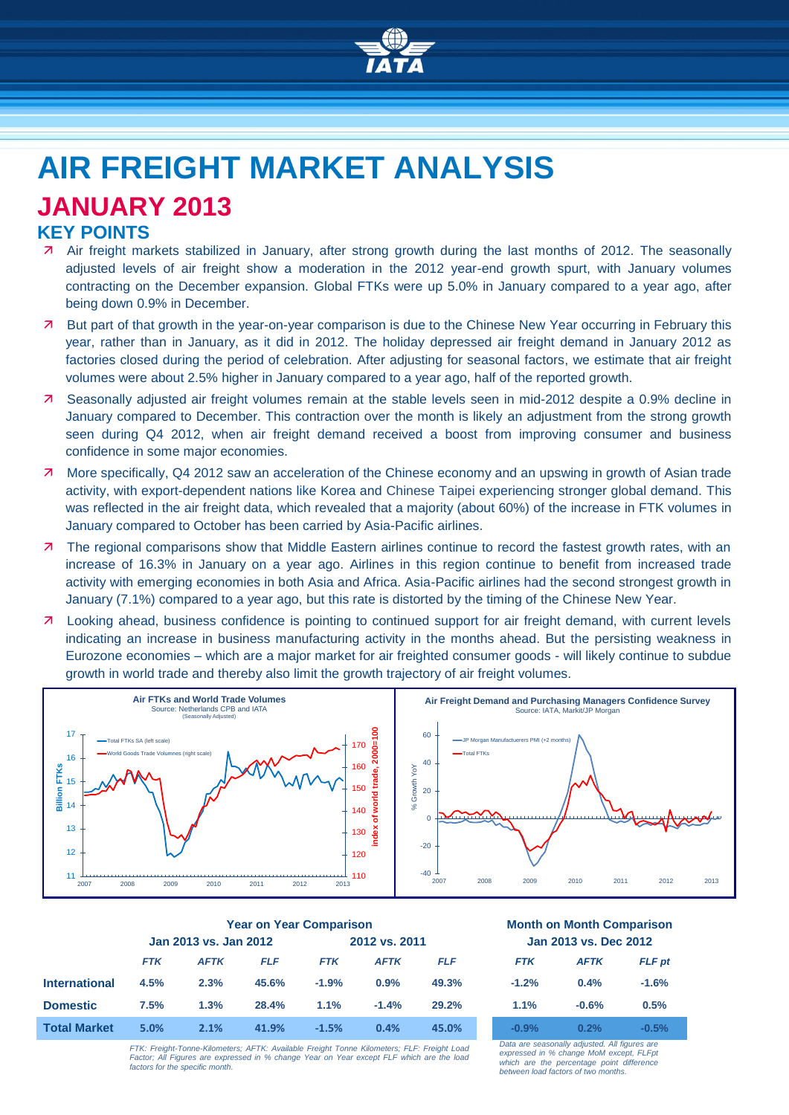

# **AIR FREIGHT MARKET ANALYSIS JANUARY 2013**

## **KEY POINTS**

- Air freight markets stabilized in January, after strong growth during the last months of 2012. The seasonally adjusted levels of air freight show a moderation in the 2012 year-end growth spurt, with January volumes contracting on the December expansion. Global FTKs were up 5.0% in January compared to a year ago, after being down 0.9% in December.
- 7 But part of that growth in the year-on-year comparison is due to the Chinese New Year occurring in February this year, rather than in January, as it did in 2012. The holiday depressed air freight demand in January 2012 as factories closed during the period of celebration. After adjusting for seasonal factors, we estimate that air freight volumes were about 2.5% higher in January compared to a year ago, half of the reported growth.
- Seasonally adjusted air freight volumes remain at the stable levels seen in mid-2012 despite a 0.9% decline in January compared to December. This contraction over the month is likely an adjustment from the strong growth seen during Q4 2012, when air freight demand received a boost from improving consumer and business confidence in some major economies.
- More specifically, Q4 2012 saw an acceleration of the Chinese economy and an upswing in growth of Asian trade activity, with export-dependent nations like Korea and Chinese Taipei experiencing stronger global demand. This was reflected in the air freight data, which revealed that a majority (about 60%) of the increase in FTK volumes in January compared to October has been carried by Asia-Pacific airlines.
- 7 The regional comparisons show that Middle Eastern airlines continue to record the fastest growth rates, with an increase of 16.3% in January on a year ago. Airlines in this region continue to benefit from increased trade activity with emerging economies in both Asia and Africa. Asia-Pacific airlines had the second strongest growth in January (7.1%) compared to a year ago, but this rate is distorted by the timing of the Chinese New Year.
- **7** Looking ahead, business confidence is pointing to continued support for air freight demand, with current levels indicating an increase in business manufacturing activity in the months ahead. But the persisting weakness in Eurozone economies – which are a major market for air freighted consumer goods - will likely continue to subdue growth in world trade and thereby also limit the growth trajectory of air freight volumes.



|                      | <b>Year on Year Comparison</b> |             |            |               |             | <b>Month on Month Comparisor</b> |                       |             |         |
|----------------------|--------------------------------|-------------|------------|---------------|-------------|----------------------------------|-----------------------|-------------|---------|
|                      | Jan 2013 vs. Jan 2012          |             |            | 2012 vs. 2011 |             |                                  | Jan 2013 vs. Dec 2012 |             |         |
|                      | <b>FTK</b>                     | <b>AFTK</b> | <b>FLF</b> | <b>FTK</b>    | <b>AFTK</b> | <b>FLF</b>                       | <b>FTK</b>            | <b>AFTK</b> | FLF p   |
| <b>International</b> | 4.5%                           | 2.3%        | 45.6%      | $-1.9%$       | 0.9%        | 49.3%                            | $-1.2%$               | 0.4%        | $-1.6%$ |
| <b>Domestic</b>      | 7.5%                           | 1.3%        | 28.4%      | 1.1%          | $-1.4%$     | 29.2%                            | 1.1%                  | $-0.6%$     | 0.5%    |
| <b>Total Market</b>  | 5.0%                           | 2.1%        | 41.9%      | $-1.5%$       | 0.4%        | 45.0%                            | $-0.9%$               | 0.2%        | $-0.5%$ |
|                      |                                |             |            |               |             |                                  |                       |             |         |

*FTK: Freight-Tonne-Kilometers; AFTK: Available Freight Tonne Kilometers; FLF: Freight Load Factor; All Figures are expressed in % change Year on Year except FLF which are the load factors for the specific month.*

#### **Year on Year Comparison Month on Month Comparison Jan 2013 vs. Jan 2012 2012 vs. 2011 Jan 2013 vs. Dec 2012**

| <b>FTK</b> | <b>AFTK</b> | <b>FLF</b> pt |
|------------|-------------|---------------|
| $-1.2%$    | 0.4%        | $-1.6%$       |
| 1.1%       | $-0.6%$     | 0.5%          |
| $-0.9%$    | 0.2%        | $-0.5%$       |

*Data are seasonally adjusted. All figures are expressed in % change MoM except, FLFpt which are the percentage point difference between load factors of two months.*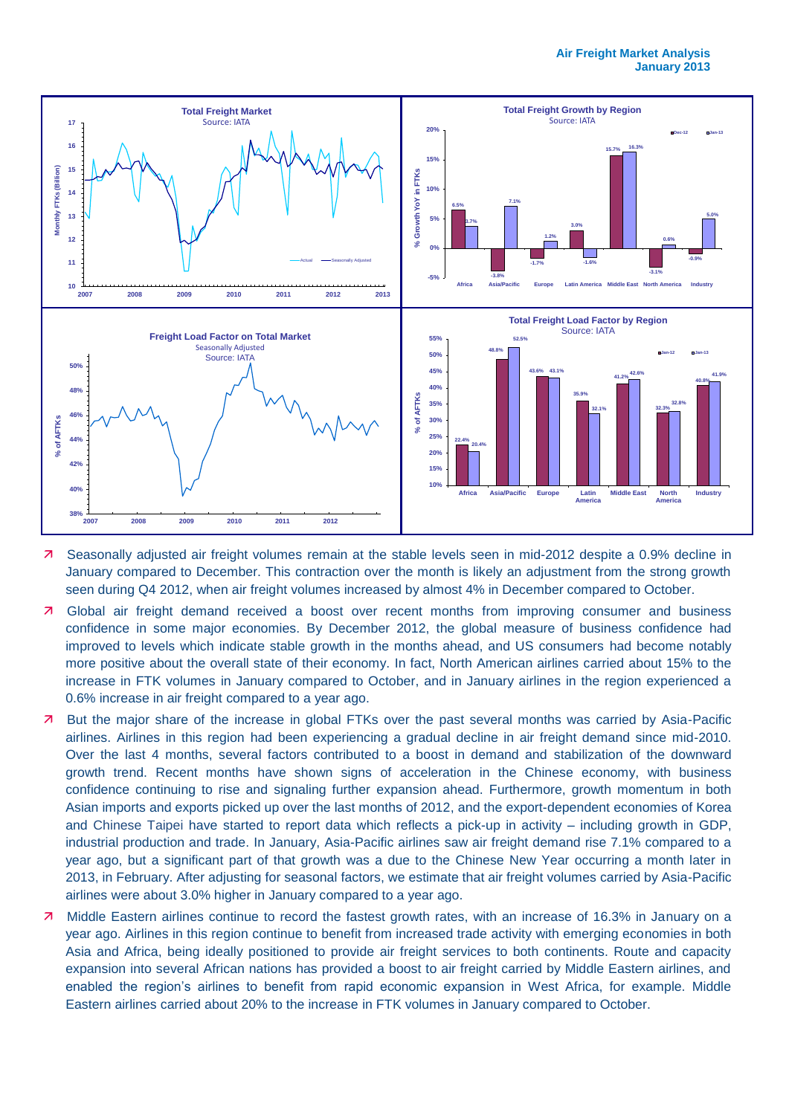

- Seasonally adjusted air freight volumes remain at the stable levels seen in mid-2012 despite a 0.9% decline in January compared to December. This contraction over the month is likely an adjustment from the strong growth seen during Q4 2012, when air freight volumes increased by almost 4% in December compared to October.
- **7** Global air freight demand received a boost over recent months from improving consumer and business confidence in some major economies. By December 2012, the global measure of business confidence had improved to levels which indicate stable growth in the months ahead, and US consumers had become notably more positive about the overall state of their economy. In fact, North American airlines carried about 15% to the increase in FTK volumes in January compared to October, and in January airlines in the region experienced a 0.6% increase in air freight compared to a year ago.
- But the major share of the increase in global FTKs over the past several months was carried by Asia-Pacific airlines. Airlines in this region had been experiencing a gradual decline in air freight demand since mid-2010. Over the last 4 months, several factors contributed to a boost in demand and stabilization of the downward growth trend. Recent months have shown signs of acceleration in the Chinese economy, with business confidence continuing to rise and signaling further expansion ahead. Furthermore, growth momentum in both Asian imports and exports picked up over the last months of 2012, and the export-dependent economies of Korea and Chinese Taipei have started to report data which reflects a pick-up in activity – including growth in GDP, industrial production and trade. In January, Asia-Pacific airlines saw air freight demand rise 7.1% compared to a year ago, but a significant part of that growth was a due to the Chinese New Year occurring a month later in 2013, in February. After adjusting for seasonal factors, we estimate that air freight volumes carried by Asia-Pacific airlines were about 3.0% higher in January compared to a year ago.
- **7** Middle Eastern airlines continue to record the fastest growth rates, with an increase of 16.3% in January on a year ago. Airlines in this region continue to benefit from increased trade activity with emerging economies in both Asia and Africa, being ideally positioned to provide air freight services to both continents. Route and capacity expansion into several African nations has provided a boost to air freight carried by Middle Eastern airlines, and enabled the region's airlines to benefit from rapid economic expansion in West Africa, for example. Middle Eastern airlines carried about 20% to the increase in FTK volumes in January compared to October.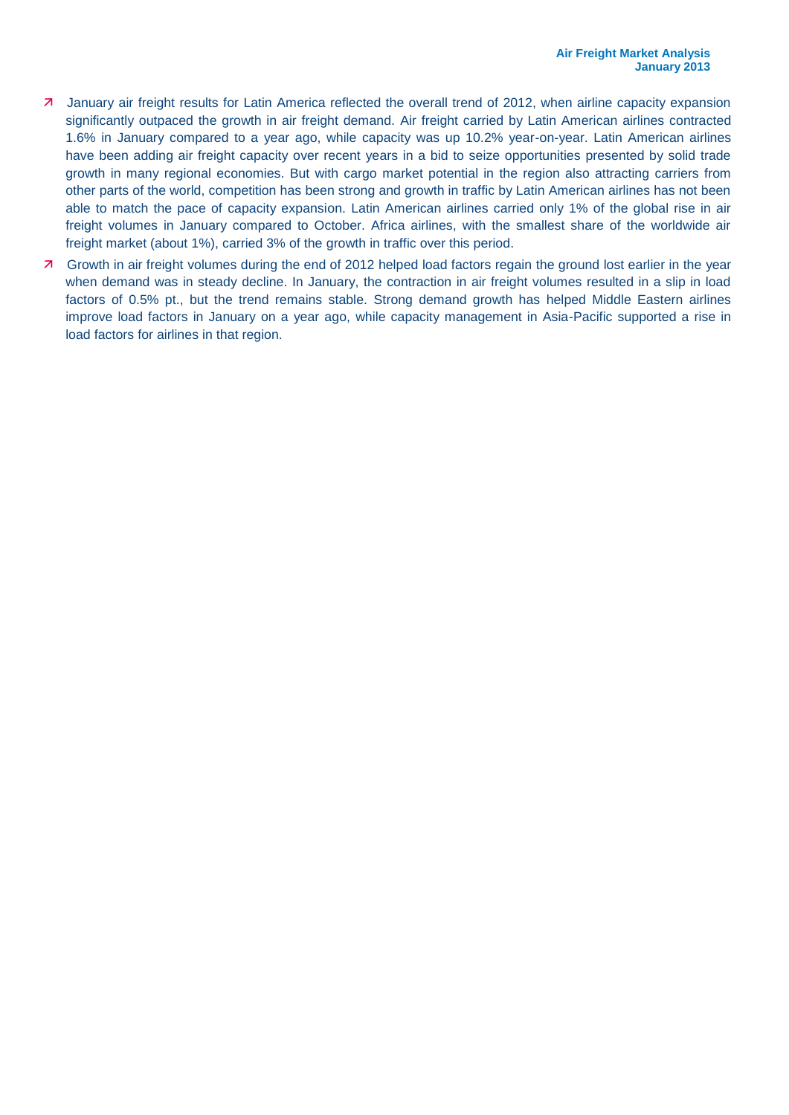- January air freight results for Latin America reflected the overall trend of 2012, when airline capacity expansion significantly outpaced the growth in air freight demand. Air freight carried by Latin American airlines contracted 1.6% in January compared to a year ago, while capacity was up 10.2% year-on-year. Latin American airlines have been adding air freight capacity over recent years in a bid to seize opportunities presented by solid trade growth in many regional economies. But with cargo market potential in the region also attracting carriers from other parts of the world, competition has been strong and growth in traffic by Latin American airlines has not been able to match the pace of capacity expansion. Latin American airlines carried only 1% of the global rise in air freight volumes in January compared to October. Africa airlines, with the smallest share of the worldwide air freight market (about 1%), carried 3% of the growth in traffic over this period.
- Growth in air freight volumes during the end of 2012 helped load factors regain the ground lost earlier in the year when demand was in steady decline. In January, the contraction in air freight volumes resulted in a slip in load factors of 0.5% pt., but the trend remains stable. Strong demand growth has helped Middle Eastern airlines improve load factors in January on a year ago, while capacity management in Asia-Pacific supported a rise in load factors for airlines in that region.